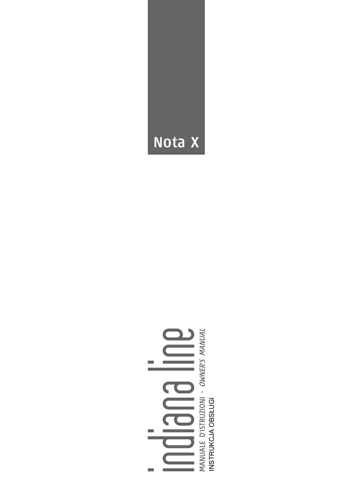# MANUALE D'ISTRUZIONI - *OWNER'S MANUAL*<br>INSTRUKCJA OBSŁUGI  $\qquad \qquad \equiv$ **BUG** .

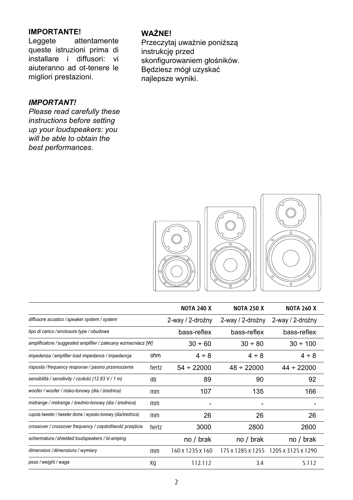## **IMPORTANTE!**

attentamente queste istruzioni prima di installare i diffusori: vi aiuteranno ad ot-tenere le migliori prestazioni.

#### *IMPORTANT!*

*Please read carefully these instructions before setting up your loudspeakers: you will be able to obtain the best performances.*

#### **WAŻNE!**

Przeczytaj uważnie poniższą instrukcję przed skonfigurowaniem głośników. Będziesz mógł uzyskać najlepsze wyniki.



|                                                               |       | <b>NOTA 240 X</b> | <b>NOTA 250 X</b> | <b>NOTA 260 X</b>  |
|---------------------------------------------------------------|-------|-------------------|-------------------|--------------------|
| diffusore acustico / speaker system / system                  |       | 2-way / 2-drożny  | 2-way / 2-drożny  | 2-way / 2-drożny   |
| tipo di carico / enclosure type / obudowa                     |       | bass-reflex       | bass-reflex       | bass-reflex        |
| amplificatore / suggested amplifier / zalecany wzmacniacz [W] |       | $30 \div 60$      | $30 \div 80$      | $30 \div 100$      |
| impedenza / amplifier load impedance / impedancja             | ohm   | $4 \div 8$        | $4 \div 8$        | $4 \div 8$         |
| risposta / frequency response / pasmo przenoszenia            | hertz | $54 \div 22000$   | $48 \div 22000$   | $44 \div 22000$    |
| sensibilità / sensitivity / czułość (12.83 V / 1 m)           | dB    | 89                | 90                | 92                 |
| woofer / woofer / nisko-tonowy (dia / średnica)               | mm    | 107               | 135               | 166                |
| midrange / midrange / średnio-tonowy (dia / średnica)         | mm    |                   |                   |                    |
| cupola tweeter / tweeter dome / wysoko-tonowy (dia/średnica)  | mm    | 26                | 26                | 26                 |
| crossover / crossover frequency / częstotliwość przejścia     | hertz | 3000              | 2800              | 2600               |
| schermatura / shielded loudspeakers / bi-amping               |       | no / brak         | no / brak         | no / brak          |
| dimensioni / dimensions / wymiary                             | mm    | 160 x 1235 x 160  | 175 x 1285 x 1255 | 1205 x 3125 x 1290 |
| peso / weight / waga                                          | Кq    | 112.112           | 3.4               | 5.112              |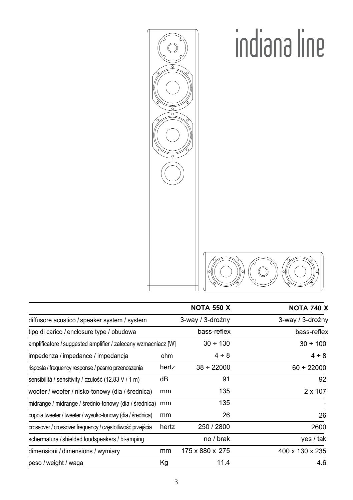

|                                                               |       | <b>NOTA 550 X</b> | <b>NOTA 740 X</b> |
|---------------------------------------------------------------|-------|-------------------|-------------------|
| diffusore acustico / speaker system / system                  |       | 3-way / 3-drożny  | 3-way / 3-drożny  |
| tipo di carico / enclosure type / obudowa                     |       | bass-reflex       | bass-reflex       |
| amplificatore / suggested amplifier / zalecany wzmacniacz [W] |       | $30 \div 130$     | $30 \div 100$     |
| impedenza / impedance / impedancja                            | ohm   | $4 \div 8$        | $4 \div 8$        |
| risposta / frequency response / pasmo przenoszenia            | hertz | $38 \div 22000$   | $60 \div 22000$   |
| sensibilità / sensitivity / czułość (12.83 V / 1 m)           | dВ    | 91                | 92                |
| woofer / woofer / nisko-tonowy (dia / średnica)               | mm    | 135               | $2 \times 107$    |
| midrange / midrange / średnio-tonowy (dia / średnica)         | mm    | 135               |                   |
| cupola tweeter / tweeter / wysoko-tonowy (dia / średnica)     | mm    | 26                | 26                |
| crossover / crossover frequency / częstotliwość przejścia     | hertz | 250 / 2800        | 2600              |
| schermatura / shielded loudspeakers / bi-amping               |       | no / brak         | yes / tak         |
| dimensioni / dimensions / wymiary                             | mm    | 175 x 880 x 275   | 400 x 130 x 235   |
| peso / weight / waga                                          | Кg    | 11.4              | 4.6               |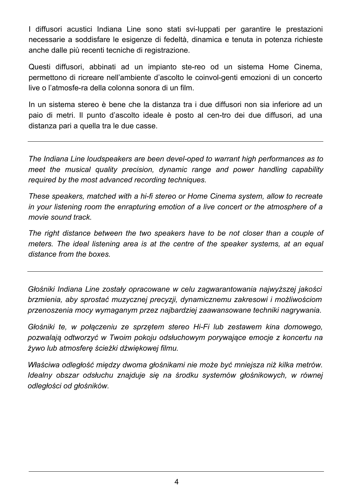I diffusori acustici Indiana Line sono stati svi-luppati per garantire le prestazioni necessarie a soddisfare le esigenze di fedeltà, dinamica e tenuta in potenza richieste anche dalle più recenti tecniche di registrazione.

Questi diffusori, abbinati ad un impianto ste-reo od un sistema Home Cinema, permettono di ricreare nell'ambiente d'ascolto le coinvol-genti emozioni di un concerto live o l'atmosfe-ra della colonna sonora di un film.

In un sistema stereo è bene che la distanza tra i due diffusori non sia inferiore ad un paio di metri. Il punto d'ascolto ideale è posto al cen-tro dei due diffusori, ad una distanza pari a quella tra le due casse.

*The Indiana Line loudspeakers are been devel-oped to warrant high performances as to meet the musical quality precision, dynamic range and power handling capability required by the most advanced recording techniques.*

*These speakers, matched with a hi-fi stereo or Home Cinema system, allow to recreate in your listening room the enrapturing emotion of a live concert or the atmosphere of a movie sound track.*

*The right distance between the two speakers have to be not closer than a couple of meters. The ideal listening area is at the centre of the speaker systems, at an equal distance from the boxes.*

*Głośniki Indiana Line zostały opracowane w celu zagwarantowania najwyższej jakości brzmienia, aby sprostać muzycznej precyzji, dynamicznemu zakresowi i możliwościom przenoszenia mocy wymaganym przez najbardziej zaawansowane techniki nagrywania.*

*Głośniki te, w połączeniu ze sprzętem stereo Hi-Fi lub zestawem kina domowego, pozwalają odtworzyć w Twoim pokoju odsłuchowym porywające emocje z koncertu na żywo lub atmosferę ścieżki dźwiękowej filmu.*

*Właściwa odległość między dwoma głośnikami nie może być mniejsza niż kilka metrów. Idealny obszar odsłuchu znajduje się na środku systemów głośnikowych, w równej odległości od głośników.*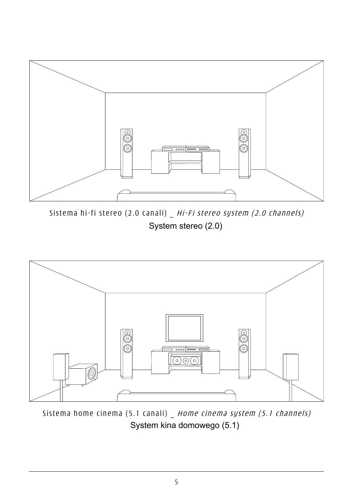

Sistema hi-fi stereo (2.0 canali) \_ Hi-Fi stereo system (2.0 channels) System stereo (2.0)



Sistema home cinema (5.1 canali) \_ Home cinema system (5.1 channels) System kina domowego (5.1)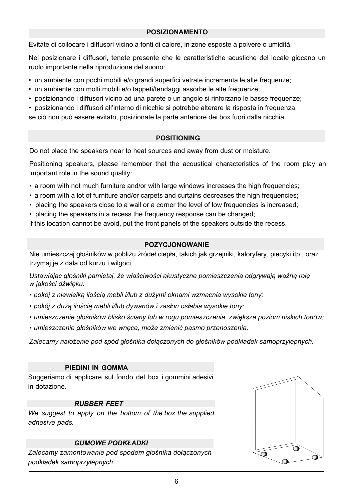#### **POSIZIONAMENTO**

Evitate di collocare i diffusori vicino a fonti di calore, in zone esposte a polvere o umidità.

Nel posizionare i diffusori, tenete presente che le caratteristiche acustiche del locale giocano un ruolo importante nella riproduzione del suono:

- un ambiente con pochi mobili e/o grandi superfici vetrate incrementa le alte frequenze;
- un ambiente con molti mobili e/o tappeti/tendaggi assorbe le alte frequenze;
- posizionando i diffusori vicino ad una parete o un angolo si rinforzano le basse frequenze;
- posizionando i diffusori all'interno di nicchie si potrebbe alterare la risposta in frequenza;

se ciò non può essere evitato, posizionate la parte anteriore dei box fuori dalla nicchia.

#### **POSITIONING**

Do not place the speakers near to heat sources and away from dust or moisture.

Positioning speakers, please remember that the acoustical characteristics of the room play an important role in the sound quality:

- a room with not much furniture and/or with large windows increases the high frequencies;
- a room with a lot of furniture and/or carpets and curtains decreases the high frequencies;
- placing the speakers close to a wall or a corner the level of low frequencies is increased;
- placing the speakers in a recess the frequency response can be changed;

if this location cannot be avoid, put the front panels of the speakers outside the recess.

#### **POZYCJONOWANIE**

Nie umieszczaj głośników w pobliżu źródeł ciepła, takich jak grzejniki, kaloryfery, piecyki itp., oraz trzymaj je z dala od kurzu i wilgoci.

*Ustawiając głośniki pamiętaj, że właściwości akustyczne pomieszczenia odgrywają ważną rolę w jakości dźwięku:*

- *• pokój z niewielką ilością mebli i/lub z dużymi oknami wzmacnia wysokie tony;*
- *• pokój z dużą ilością mebli i/lub dywanów i zasłon osłabia wysokie tony;*
- *• umieszczenie głośników blisko ściany lub w rogu pomieszczenia, zwiększa poziom niskich tonów;*
- *• umieszczenie głośników we wnęce, może zmienić pasmo przenoszenia.*

*Zalecamy nałożenie pod spód głośnika dołączonych do głośników podkładek samoprzylepnych.*

#### **PIEDINI IN GOMMA**

Suggeriamo di applicare sul fondo del box i gommini adesivi in dotazione.

#### *RUBBER FEET*

*We suggest to apply on the bottom of the box the supplied adhesive pads.*

#### *GUMOWE PODKŁADKI*

*Zalecamy zamontowanie pod spodem głośnika dołączonych podkładek samoprzylepnych.*

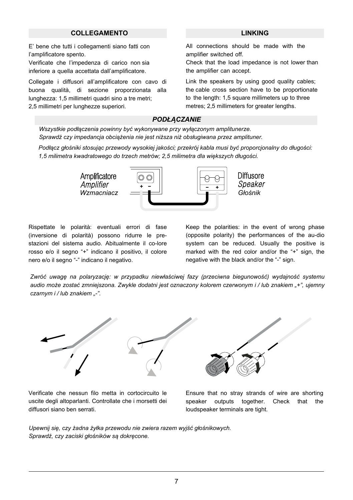#### **COLLEGAMENTO LINKING**

E' bene che tutti i collegamenti siano fatti con l'amplificatore spento.

Verificate che l'impedenza di carico non sia inferiore a quella accettata dall'amplificatore.

Collegate i diffusori all'amplificatore con cavo di buona qualità, di sezione proporzionata alla lunghezza: 1,5 millimetri quadri sino a tre metri; 2,5 millimetri per lunghezze superiori.

All connections should be made with the amplifier switched off.

Check that the load impedance is not lower than the amplifier can accept.

Link the speakers by using good quality cables; the cable cross section have to be proportionate to the length: 1,5 square millimeters up to three metres; 2,5 millimeters for greater lengths.

#### *PODŁĄCZANIE*

*Wszystkie podłączenia powinny być wykonywane przy wyłączonym amplitunerze. Sprawdź czy impedancja obciążenia nie jest niższa niż obsługiwana przez amplituner.*

*Podłącz głośniki stosując przewody wysokiej jakości; przekrój kabla musi być proporcjonalny do długości: 1,5 milimetra kwadratowego do trzech metrów; 2,5 milimetra dla większych długości.*



Rispettate le polarità: eventuali errori di fase (inversione di polarità) possono ridurre le prestazioni del sistema audio. Abitualmente il co-lore rosso e/o il segno "+" indicano il positivo, il colore nero e/o il segno "-" indicano il negativo.

Keep the polarities: in the event of wrong phase (opposite polarity) the performances of the au-dio system can be reduced. Usually the positive is marked with the red color and/or the "+" sign, the negative with the black and/or the "-" sign.

*Zwróć uwagę na polaryzację: w przypadku niewłaściwej fazy (przeciwna biegunowość) wydajność systemu audio może zostać zmniejszona. Zwykle dodatni jest oznaczony kolorem czerwonym i / lub znakiem "+", ujemny czarnym i / lub znakiem "-".*



Verificate che nessun filo metta in cortocircuito le uscite degli altoparlanti. Controllate che i morsetti dei diffusori siano ben serrati.

Ensure that no stray strands of wire are shorting speaker outputs together. Check that the loudspeaker terminals are tight.

*Upewnij się, czy żadna żyłka przewodu nie zwiera razem wyjść głośnikowych. Sprawdź, czy zaciski głośników są dokręcone.*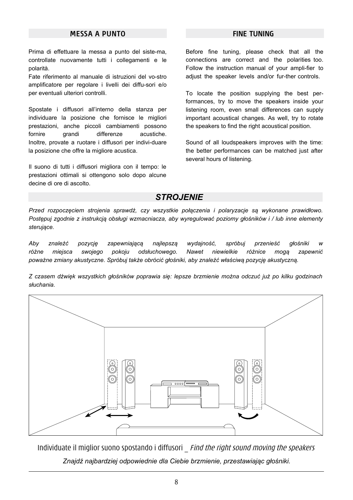#### **MESSA A PUNTO FINE TUNING**

Prima di effettuare la messa a punto del siste-ma, controllate nuovamente tutti i collegamenti e le polarità.

Fate riferimento al manuale di istruzioni del vo-stro amplificatore per regolare i livelli dei diffu-sori e/o per eventuali ulteriori controlli.

Spostate i diffusori all'interno della stanza per individuare la posizione che fornisce le migliori prestazioni, anche piccoli cambiamenti possono fornire grandi differenze acustiche. Inoltre, provate a ruotare i diffusori per indivi-duare la posizione che offre la migliore acustica.

Il suono di tutti i diffusori migliora con il tempo: le prestazioni ottimali si ottengono solo dopo alcune decine di ore di ascolto.

Before fine tuning, please check that all the connections are correct and the polarities too. Follow the instruction manual of your ampli-fier to adiust the speaker levels and/or fur-ther controls.

To locate the position supplying the best performances, try to move the speakers inside your listening room, even small differences can supply important acoustical changes. As well, try to rotate the speakers to find the right acoustical position.

Sound of all loudspeakers improves with the time: the better performances can be matched just after several hours of listening.

#### *STROJENIE*

*Przed rozpoczęciem strojenia sprawdź, czy wszystkie połączenia i polaryzacje są wykonane prawidłowo. Postępuj zgodnie z instrukcją obsługi wzmacniacza, aby wyregulować poziomy głośników i / lub inne elementy sterujące.*

*Aby znaleźć pozycję zapewniającą najlepszą wydajność, spróbuj przenieść głośniki w różne miejsca swojego pokoju odsłuchowego. Nawet niewielkie różnice mogą zapewnić poważne zmiany akustyczne. Spróbuj także obrócić głośniki, aby znaleźć właściwą pozycję akustyczną.*

*Z czasem dźwięk wszystkich głośników poprawia się: lepsze brzmienie można odczuć już po kilku godzinach słuchania.*



Individuate il miglior suono spostando i diffusori *Eind the right sound moving the speakers Znajdź najbardziej odpowiednie dla Ciebie brzmienie, przestawiając głośniki.*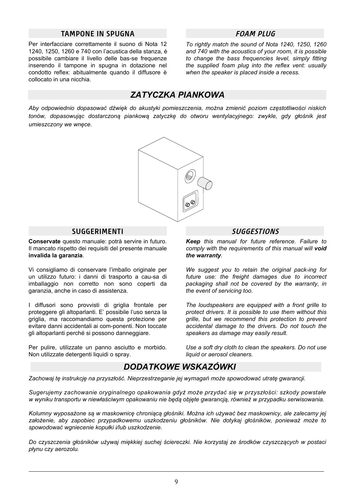#### **TAMPONE IN SPUGNA FOAM PLUG**

Per interfacciare correttamente il suono di Nota 12 1240, 1250, 1260 e 740 con l'acustica della stanza, è possibile cambiare il livello delle bas-se frequenze inserendo il tampone in spugna in dotazione nel condotto reflex: abitualmente quando il diffusore è collocato in una nicchia.

*To rightly match the sound of Nota 1240, 1250, 1260 and 740 with the acoustics of your room, it is possible to change the bass frequencies level, simply fitting the supplied foam plug into the reflex vent: usually when the speaker is placed inside a recess.*

## *ZATYCZKA PIANKOWA*

*Aby odpowiednio dopasować dźwięk do akustyki pomieszczenia, można zmienić poziom częstotliwości niskich tonów, dopasowując dostarczoną piankową zatyczkę do otworu wentylacyjnego: zwykle, gdy głośnik jest umieszczony we wnęce.*



#### **SUGGERIMENTI**

**Conservate** questo manuale: potrà servire in futuro. Il mancato rispetto dei requisiti del presente manuale **invalida la garanzia**.

Vi consigliamo di conservare l'imballo originale per un utilizzo futuro: i danni di trasporto a cau-sa di imballaggio non corretto non sono coperti da garanzia, anche in caso di assistenza.

I diffusori sono provvisti di griglia frontale per proteggere gli altoparlanti. E' possibile l'uso senza la griglia, ma raccomandiamo questa protezione per evitare danni accidentali ai com-ponenti. Non toccate gli altoparlanti perché si possono danneggiare.

Per pulire, utilizzate un panno asciutto e morbido. Non utilizzate detergenti liquidi o spray.

#### **SUGGESTIONS**

*Keep this manual for future reference. Failure to comply with the requirements of this manual will void the warranty.*

*We suggest you to retain the original pack-ing for future use: the freight damages due to incorrect packaging shall not be covered by the warranty, in the event of servicing too.*

*The loudspeakers are equipped with a front grille to protect drivers. It is possible to use them without this grille, but we recommend this protection to prevent accidental damage to the drivers. Do not touch the speakers as damage may easily result.*

*Use a soft dry cloth to clean the speakers. Do not use liquid or aerosol cleaners.*

### *DODATKOWE WSKAZÓWKI*

*Zachowaj tę instrukcję na przyszłość. Nieprzestrzeganie jej wymagań może spowodować utratę gwarancji.*

*Sugerujemy zachowanie oryginalnego opakowania gdyż może przydać się w przyszłości: szkody powstałe w wyniku transportu w niewłaściwym opakowaniu nie będą objęte gwarancją, również w przypadku serwisowania.*

*Kolumny wyposażone są w maskownicę chroniącą głośniki. Można ich używać bez maskownicy, ale zalecamy jej założenie, aby zapobiec przypadkowemu uszkodzeniu głośników. Nie dotykaj głośników, ponieważ może to spowodować wgniecenie kopułki i/lub uszkodzenie.*

*Do czyszczenia głośników używaj miękkiej suchej ściereczki. Nie korzystaj ze środków czyszczących w postaci płynu czy aerozolu.*